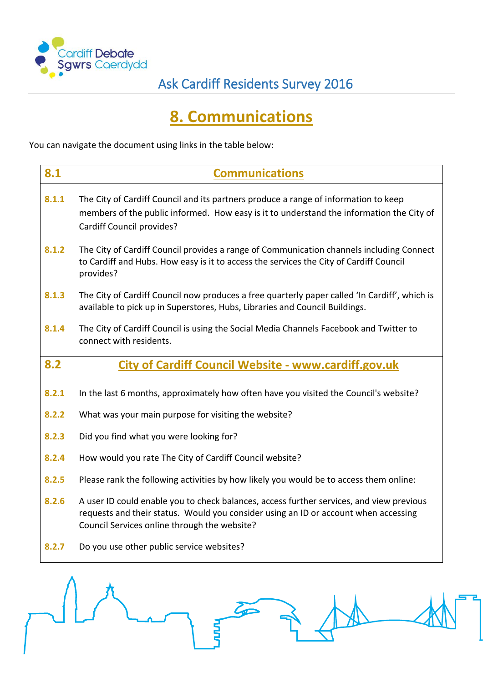

# **8. Communications**

You can navigate the document using links in the table below:

| 8.1   | <b>Communications</b>                                                                                                                                                                                                           |  |  |  |  |  |  |  |  |
|-------|---------------------------------------------------------------------------------------------------------------------------------------------------------------------------------------------------------------------------------|--|--|--|--|--|--|--|--|
| 8.1.1 | The City of Cardiff Council and its partners produce a range of information to keep<br>members of the public informed. How easy is it to understand the information the City of<br><b>Cardiff Council provides?</b>             |  |  |  |  |  |  |  |  |
| 8.1.2 | The City of Cardiff Council provides a range of Communication channels including Connect<br>to Cardiff and Hubs. How easy is it to access the services the City of Cardiff Council<br>provides?                                 |  |  |  |  |  |  |  |  |
| 8.1.3 | The City of Cardiff Council now produces a free quarterly paper called 'In Cardiff', which is<br>available to pick up in Superstores, Hubs, Libraries and Council Buildings.                                                    |  |  |  |  |  |  |  |  |
| 8.1.4 | The City of Cardiff Council is using the Social Media Channels Facebook and Twitter to<br>connect with residents.                                                                                                               |  |  |  |  |  |  |  |  |
| 8.2   | <b>City of Cardiff Council Website - www.cardiff.gov.uk</b>                                                                                                                                                                     |  |  |  |  |  |  |  |  |
| 8.2.1 | In the last 6 months, approximately how often have you visited the Council's website?                                                                                                                                           |  |  |  |  |  |  |  |  |
| 8.2.2 | What was your main purpose for visiting the website?                                                                                                                                                                            |  |  |  |  |  |  |  |  |
| 8.2.3 | Did you find what you were looking for?                                                                                                                                                                                         |  |  |  |  |  |  |  |  |
| 8.2.4 | How would you rate The City of Cardiff Council website?                                                                                                                                                                         |  |  |  |  |  |  |  |  |
| 8.2.5 | Please rank the following activities by how likely you would be to access them online:                                                                                                                                          |  |  |  |  |  |  |  |  |
| 8.2.6 | A user ID could enable you to check balances, access further services, and view previous<br>requests and their status. Would you consider using an ID or account when accessing<br>Council Services online through the website? |  |  |  |  |  |  |  |  |
| 8.2.7 | Do you use other public service websites?                                                                                                                                                                                       |  |  |  |  |  |  |  |  |
|       |                                                                                                                                                                                                                                 |  |  |  |  |  |  |  |  |

 $\mathcal{Z}$ 

 $\mathbf{H}$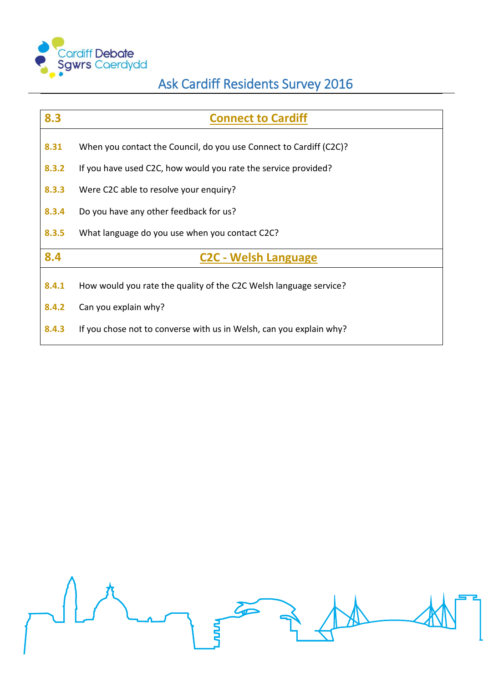

| 8.3   | <b>Connect to Cardiff</b>                                           |  |  |  |  |  |  |  |
|-------|---------------------------------------------------------------------|--|--|--|--|--|--|--|
| 8.31  | When you contact the Council, do you use Connect to Cardiff (C2C)?  |  |  |  |  |  |  |  |
| 8.3.2 | If you have used C2C, how would you rate the service provided?      |  |  |  |  |  |  |  |
| 8.3.3 | Were C2C able to resolve your enquiry?                              |  |  |  |  |  |  |  |
| 8.3.4 | Do you have any other feedback for us?                              |  |  |  |  |  |  |  |
| 8.3.5 | What language do you use when you contact C2C?                      |  |  |  |  |  |  |  |
| 8.4   | <b>C2C - Welsh Language</b>                                         |  |  |  |  |  |  |  |
| 8.4.1 | How would you rate the quality of the C2C Welsh language service?   |  |  |  |  |  |  |  |
| 8.4.2 | Can you explain why?                                                |  |  |  |  |  |  |  |
| 8.4.3 | If you chose not to converse with us in Welsh, can you explain why? |  |  |  |  |  |  |  |

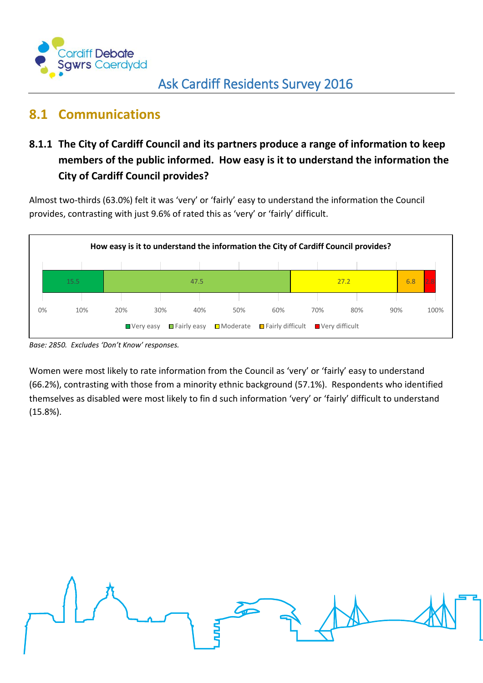

## <span id="page-2-0"></span>**8.1 Communications**

### <span id="page-2-1"></span>**8.1.1 The City of Cardiff Council and its partners produce a range of information to keep members of the public informed. How easy is it to understand the information the City of Cardiff Council provides?**

Almost two-thirds (63.0%) felt it was 'very' or 'fairly' easy to understand the information the Council provides, contrasting with just 9.6% of rated this as 'very' or 'fairly' difficult.



*Base: 2850. Excludes 'Don't Know' responses.*

Women were most likely to rate information from the Council as 'very' or 'fairly' easy to understand (66.2%), contrasting with those from a minority ethnic background (57.1%). Respondents who identified themselves as disabled were most likely to fin d such information 'very' or 'fairly' difficult to understand (15.8%).

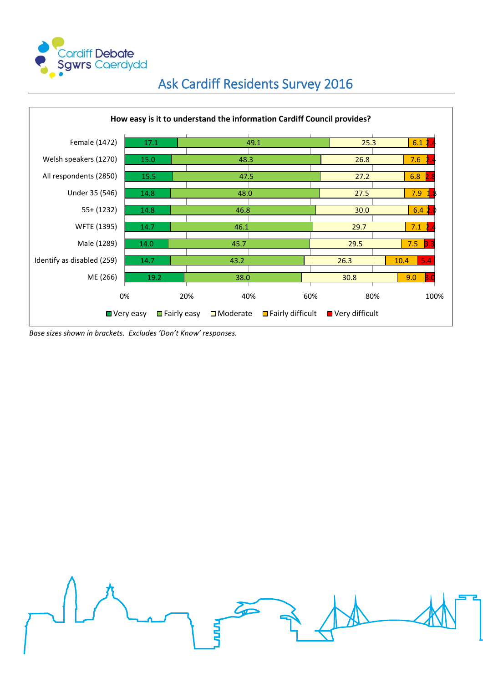



*Base sizes shown in brackets. Excludes 'Don't Know' responses.*

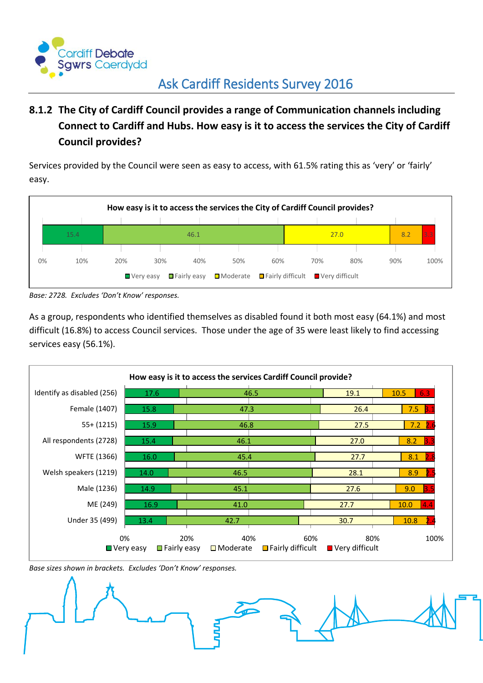

### <span id="page-4-0"></span>**8.1.2 The City of Cardiff Council provides a range of Communication channels including Connect to Cardiff and Hubs. How easy is it to access the services the City of Cardiff Council provides?**

Services provided by the Council were seen as easy to access, with 61.5% rating this as 'very' or 'fairly' easy.



*Base: 2728. Excludes 'Don't Know' responses.*

As a group, respondents who identified themselves as disabled found it both most easy (64.1%) and most difficult (16.8%) to access Council services. Those under the age of 35 were least likely to find accessing services easy (56.1%).



*Base sizes shown in brackets. Excludes 'Don't Know' responses.*

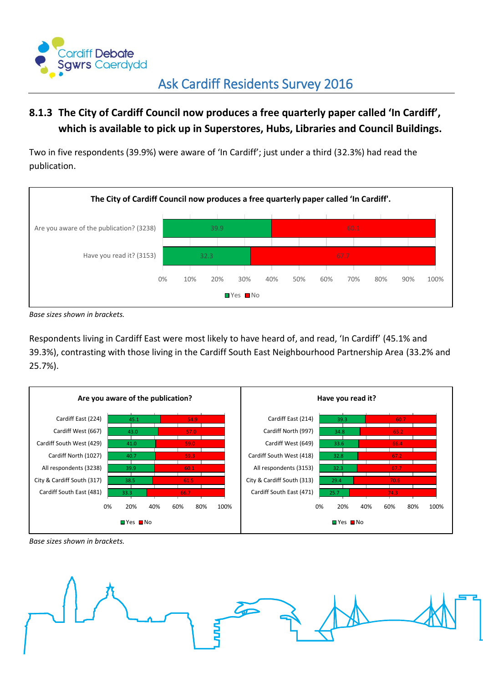

### <span id="page-5-0"></span>**8.1.3 The City of Cardiff Council now produces a free quarterly paper called 'In Cardiff', which is available to pick up in Superstores, Hubs, Libraries and Council Buildings.**

Two in five respondents (39.9%) were aware of 'In Cardiff'; just under a third (32.3%) had read the publication.



*Base sizes shown in brackets.*

Respondents living in Cardiff East were most likely to have heard of, and read, 'In Cardiff' (45.1% and 39.3%), contrasting with those living in the Cardiff South East Neighbourhood Partnership Area (33.2% and 25.7%).



*Base sizes shown in brackets.*

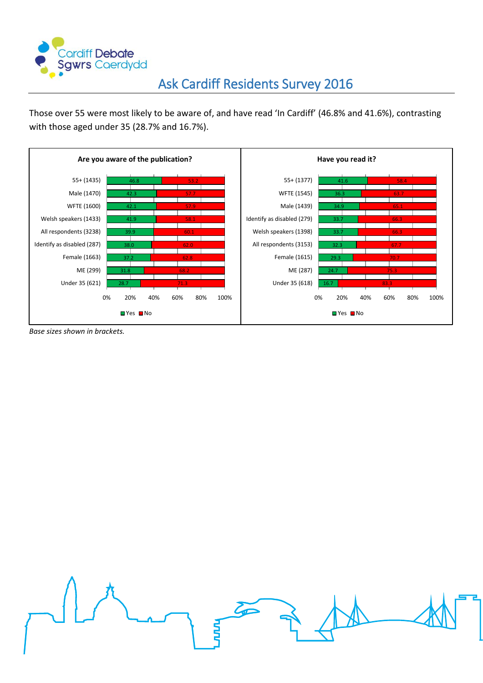

Those over 55 were most likely to be aware of, and have read 'In Cardiff' (46.8% and 41.6%), contrasting with those aged under 35 (28.7% and 16.7%).



*Base sizes shown in brackets.*

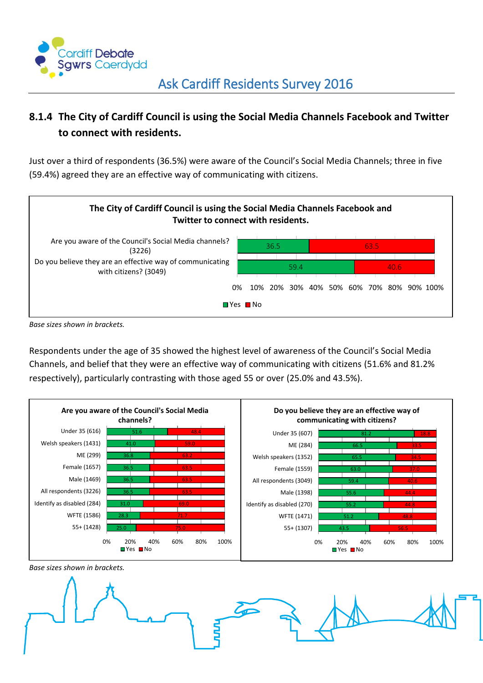

### <span id="page-7-0"></span>**8.1.4 The City of Cardiff Council is using the Social Media Channels Facebook and Twitter to connect with residents.**

Just over a third of respondents (36.5%) were aware of the Council's Social Media Channels; three in five (59.4%) agreed they are an effective way of communicating with citizens.



*Base sizes shown in brackets.*

Respondents under the age of 35 showed the highest level of awareness of the Council's Social Media Channels, and belief that they were an effective way of communicating with citizens (51.6% and 81.2% respectively), particularly contrasting with those aged 55 or over (25.0% and 43.5%).



*Base sizes shown in brackets.*

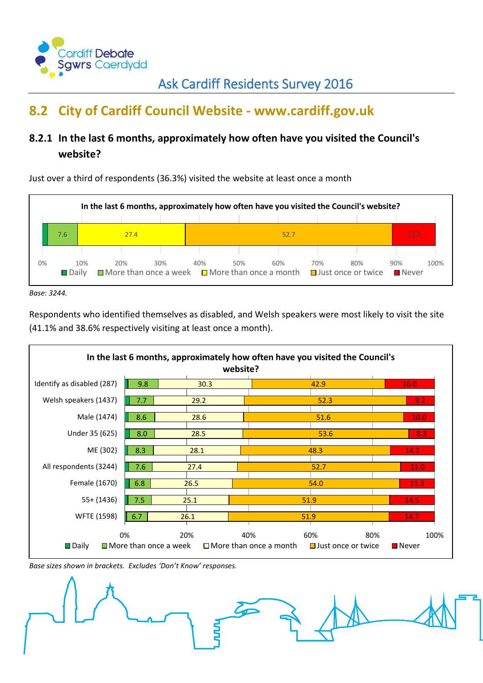

## <span id="page-8-0"></span>**8.2 City of Cardiff Council Website - www.cardiff.gov.uk**

### <span id="page-8-1"></span>**8.2.1 In the last 6 months, approximately how often have you visited the Council's website?**

Just over a third of respondents (36.3%) visited the website at least once a month



*Base: 3244.*

Respondents who identified themselves as disabled, and Welsh speakers were most likely to visit the site (41.1% and 38.6% respectively visiting at least once a month).



*Base sizes shown in brackets. Excludes 'Don't Know' responses.*

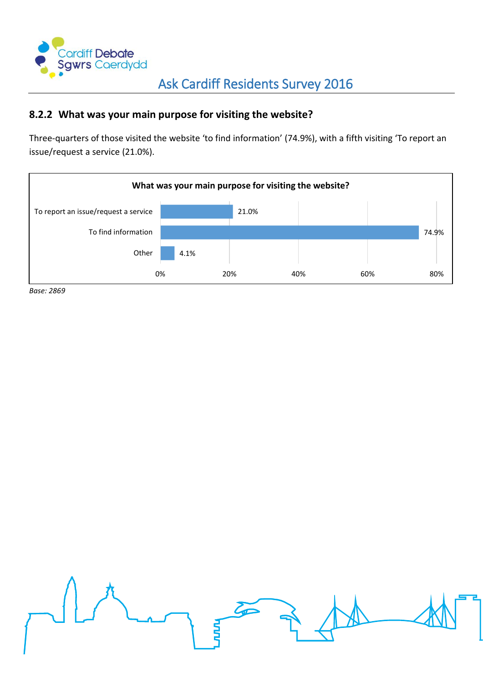

#### <span id="page-9-0"></span>**8.2.2 What was your main purpose for visiting the website?**

Three-quarters of those visited the website 'to find information' (74.9%), with a fifth visiting 'To report an issue/request a service (21.0%).



*Base: 2869*

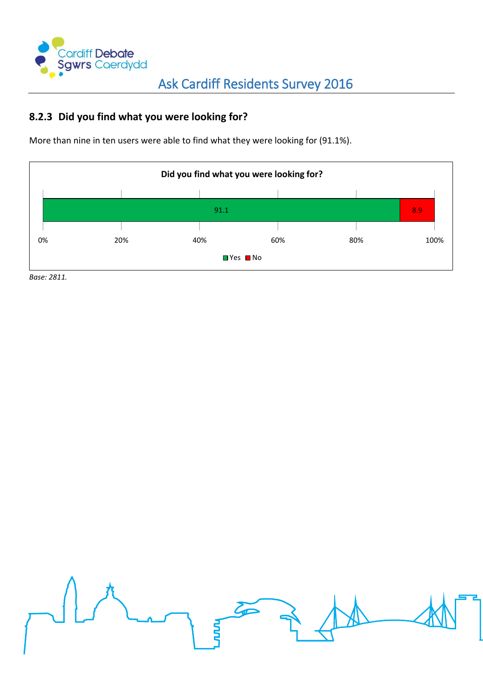

#### <span id="page-10-0"></span>**8.2.3 Did you find what you were looking for?**

More than nine in ten users were able to find what they were looking for (91.1%).



*Base: 2811.*

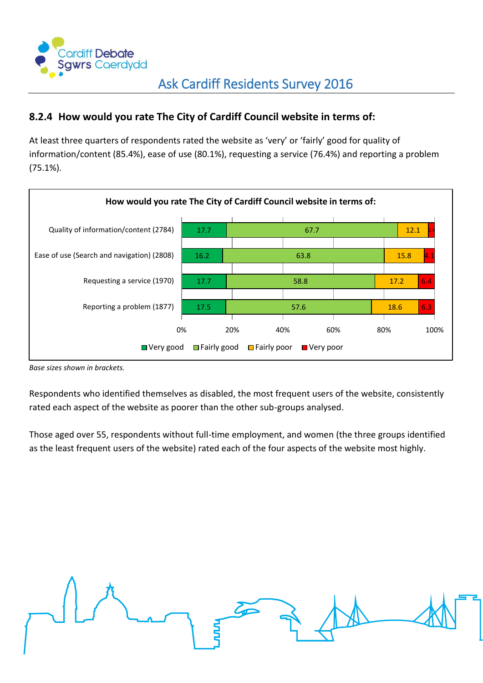

#### <span id="page-11-0"></span>**8.2.4 How would you rate The City of Cardiff Council website in terms of:**

At least three quarters of respondents rated the website as 'very' or 'fairly' good for quality of information/content (85.4%), ease of use (80.1%), requesting a service (76.4%) and reporting a problem (75.1%).



*Base sizes shown in brackets.*

Respondents who identified themselves as disabled, the most frequent users of the website, consistently rated each aspect of the website as poorer than the other sub-groups analysed.

Those aged over 55, respondents without full-time employment, and women (the three groups identified as the least frequent users of the website) rated each of the four aspects of the website most highly.

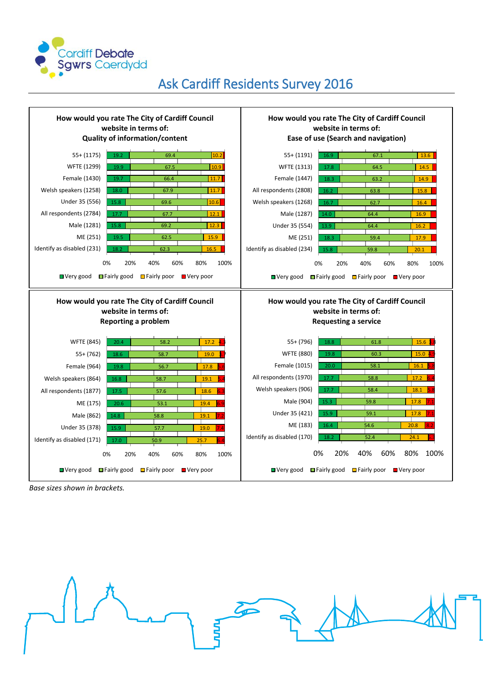



*Base sizes shown in brackets.*

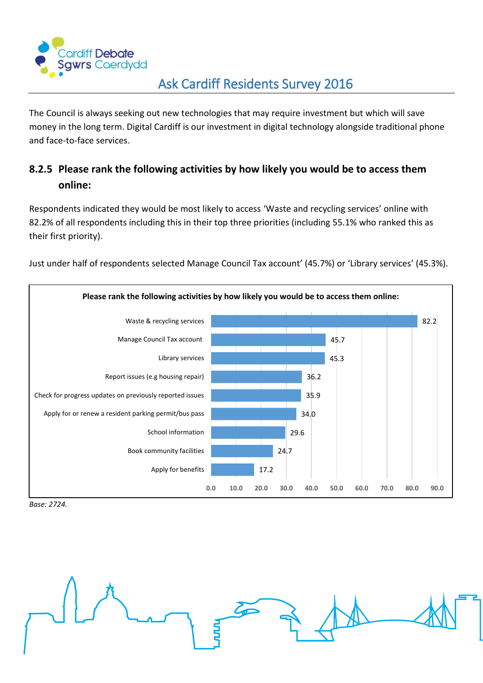

The Council is always seeking out new technologies that may require investment but which will save money in the long term. Digital Cardiff is our investment in digital technology alongside traditional phone and face-to-face services.

### <span id="page-13-0"></span>**8.2.5 Please rank the following activities by how likely you would be to access them online:**

Respondents indicated they would be most likely to access 'Waste and recycling services' online with 82.2% of all respondents including this in their top three priorities (including 55.1% who ranked this as their first priority).

Just under half of respondents selected Manage Council Tax account' (45.7%) or 'Library services' (45.3%).



*Base: 2724.*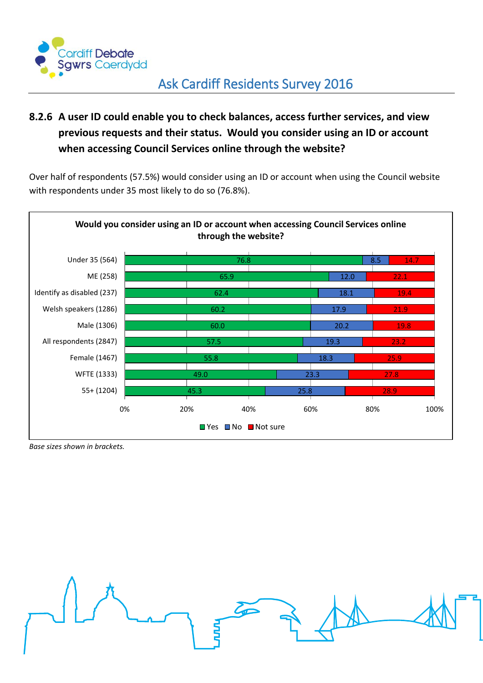

### <span id="page-14-0"></span>**8.2.6 A user ID could enable you to check balances, access further services, and view previous requests and their status. Would you consider using an ID or account when accessing Council Services online through the website?**

Over half of respondents (57.5%) would consider using an ID or account when using the Council website with respondents under 35 most likely to do so (76.8%).



*Base sizes shown in brackets.*

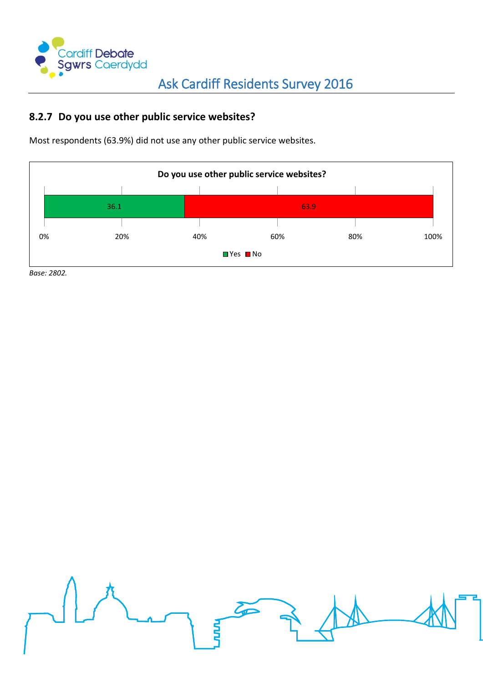

#### <span id="page-15-0"></span>**8.2.7 Do you use other public service websites?**

Most respondents (63.9%) did not use any other public service websites.



*Base: 2802.*

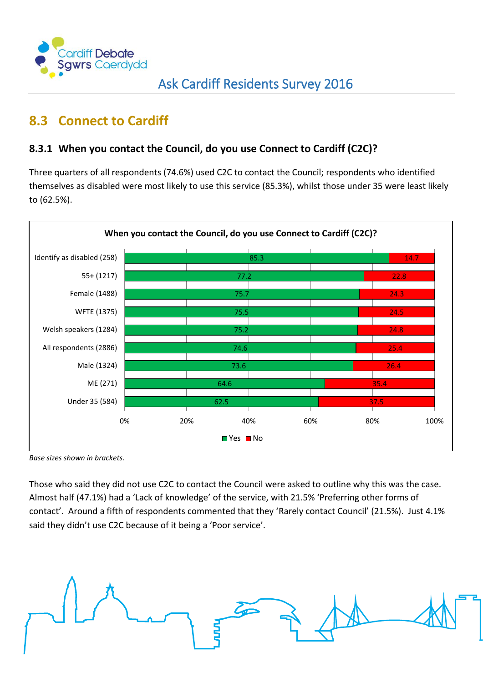

## <span id="page-16-0"></span>**8.3 Connect to Cardiff**

#### <span id="page-16-1"></span>**8.3.1 When you contact the Council, do you use Connect to Cardiff (C2C)?**

Three quarters of all respondents (74.6%) used C2C to contact the Council; respondents who identified themselves as disabled were most likely to use this service (85.3%), whilst those under 35 were least likely to (62.5%).



*Base sizes shown in brackets.*

Those who said they did not use C2C to contact the Council were asked to outline why this was the case. Almost half (47.1%) had a 'Lack of knowledge' of the service, with 21.5% 'Preferring other forms of contact'. Around a fifth of respondents commented that they 'Rarely contact Council' (21.5%). Just 4.1% said they didn't use C2C because of it being a 'Poor service'.

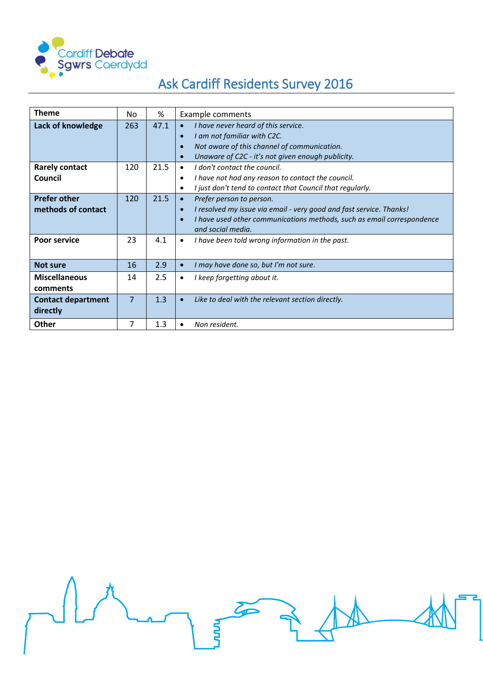

| <b>Theme</b>                              | No. | %    | Example comments                                                                                                                                                                                                                      |
|-------------------------------------------|-----|------|---------------------------------------------------------------------------------------------------------------------------------------------------------------------------------------------------------------------------------------|
| Lack of knowledge                         | 263 | 47.1 | I have never heard of this service.<br>$\bullet$<br>I am not familiar with C2C.<br>$\bullet$<br>Not aware of this channel of communication.<br>$\bullet$<br>Unaware of C2C - it's not given enough publicity.<br>$\bullet$            |
| <b>Rarely contact</b><br>Council          | 120 | 21.5 | I don't contact the council.<br>$\bullet$<br>I have not had any reason to contact the council.<br>$\bullet$<br>I just don't tend to contact that Council that regularly.<br>$\bullet$                                                 |
| <b>Prefer other</b><br>methods of contact | 120 | 21.5 | Prefer person to person.<br>$\bullet$<br>I resolved my issue via email - very good and fast service. Thanks!<br>$\bullet$<br>I have used other communications methods, such as email correspondence<br>$\bullet$<br>and social media. |
| <b>Poor service</b>                       | 23  | 4.1  | I have been told wrong information in the past.<br>$\bullet$                                                                                                                                                                          |
| <b>Not sure</b>                           | 16  | 2.9  | I may have done so, but I'm not sure.                                                                                                                                                                                                 |
| <b>Miscellaneous</b><br>comments          | 14  | 2.5  | I keep forgetting about it.<br>$\bullet$                                                                                                                                                                                              |
| <b>Contact department</b><br>directly     | 7   | 1.3  | Like to deal with the relevant section directly.                                                                                                                                                                                      |
| Other                                     | 7   | 1.3  | Non resident.                                                                                                                                                                                                                         |

Λ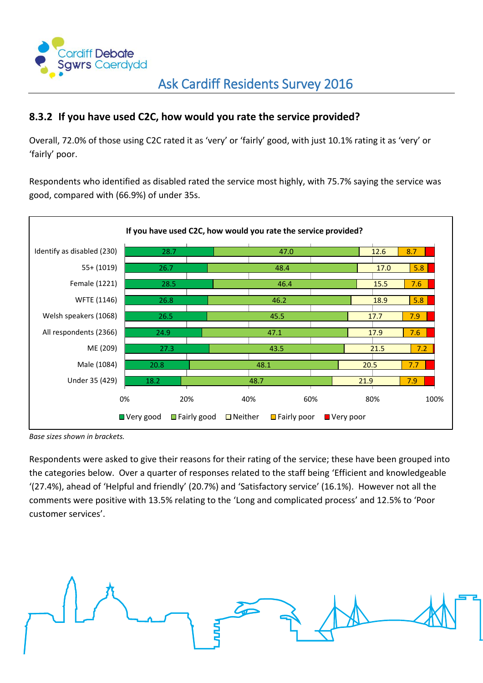

#### <span id="page-18-0"></span>**8.3.2 If you have used C2C, how would you rate the service provided?**

Overall, 72.0% of those using C2C rated it as 'very' or 'fairly' good, with just 10.1% rating it as 'very' or 'fairly' poor.

Respondents who identified as disabled rated the service most highly, with 75.7% saying the service was good, compared with (66.9%) of under 35s.



*Base sizes shown in brackets.*

Respondents were asked to give their reasons for their rating of the service; these have been grouped into the categories below. Over a quarter of responses related to the staff being 'Efficient and knowledgeable '(27.4%), ahead of 'Helpful and friendly' (20.7%) and 'Satisfactory service' (16.1%). However not all the comments were positive with 13.5% relating to the 'Long and complicated process' and 12.5% to 'Poor customer services'.

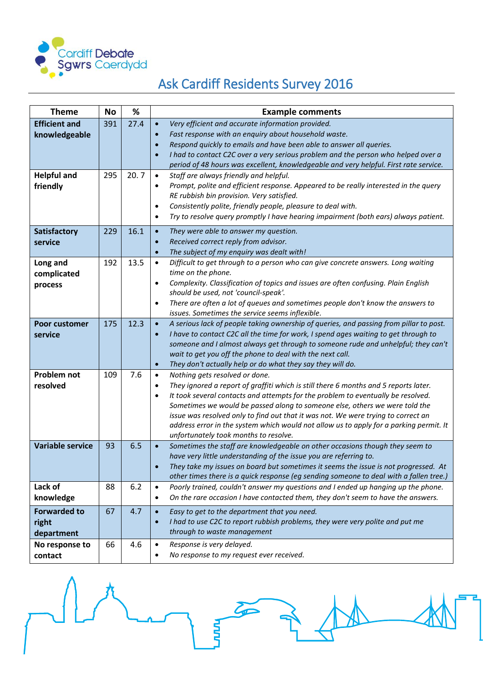

| <b>Theme</b>                               | <b>No</b> | %    | <b>Example comments</b>                                                                                                                                                                                                                                                                                                                                                                                                                                                                                                                          |
|--------------------------------------------|-----------|------|--------------------------------------------------------------------------------------------------------------------------------------------------------------------------------------------------------------------------------------------------------------------------------------------------------------------------------------------------------------------------------------------------------------------------------------------------------------------------------------------------------------------------------------------------|
| <b>Efficient and</b><br>knowledgeable      | 391       | 27.4 | Very efficient and accurate information provided.<br>$\bullet$<br>Fast response with an enquiry about household waste.<br>$\bullet$<br>Respond quickly to emails and have been able to answer all queries.<br>$\bullet$<br>I had to contact C2C over a very serious problem and the person who helped over a<br>$\bullet$<br>period of 48 hours was excellent, knowledgeable and very helpful. First rate service.                                                                                                                               |
| <b>Helpful and</b><br>friendly             | 295       | 20.7 | $\bullet$<br>Staff are always friendly and helpful.<br>Prompt, polite and efficient response. Appeared to be really interested in the query<br>$\bullet$<br>RE rubbish bin provision. Very satisfied.<br>Consistently polite, friendly people, pleasure to deal with.<br>$\bullet$<br>Try to resolve query promptly I have hearing impairment (both ears) always patient.<br>$\bullet$                                                                                                                                                           |
| Satisfactory<br>service                    | 229       | 16.1 | $\bullet$<br>They were able to answer my question.<br>Received correct reply from advisor.<br>$\bullet$<br>The subject of my enquiry was dealt with!<br>$\bullet$                                                                                                                                                                                                                                                                                                                                                                                |
| Long and<br>complicated<br>process         | 192       | 13.5 | Difficult to get through to a person who can give concrete answers. Long waiting<br>$\bullet$<br>time on the phone.<br>Complexity. Classification of topics and issues are often confusing. Plain English<br>$\bullet$<br>should be used, not 'council-speak'.<br>There are often a lot of queues and sometimes people don't know the answers to<br>$\bullet$<br>issues. Sometimes the service seems inflexible.                                                                                                                                 |
| Poor customer<br>service                   | 175       | 12.3 | A serious lack of people taking ownership of queries, and passing from pillar to post.<br>$\bullet$<br>I have to contact C2C all the time for work, I spend ages waiting to get through to<br>$\bullet$<br>someone and I almost always get through to someone rude and unhelpful; they can't<br>wait to get you off the phone to deal with the next call.<br>They don't actually help or do what they say they will do.<br>$\bullet$                                                                                                             |
| <b>Problem not</b><br>resolved             | 109       | 7.6  | Nothing gets resolved or done.<br>$\bullet$<br>They ignored a report of graffiti which is still there 6 months and 5 reports later.<br>$\bullet$<br>It took several contacts and attempts for the problem to eventually be resolved.<br>٠<br>Sometimes we would be passed along to someone else, others we were told the<br>issue was resolved only to find out that it was not. We were trying to correct an<br>address error in the system which would not allow us to apply for a parking permit. It<br>unfortunately took months to resolve. |
| <b>Variable service</b>                    | 93        | 6.5  | Sometimes the staff are knowledgeable on other occasions though they seem to<br>$\bullet$<br>have very little understanding of the issue you are referring to.<br>They take my issues on board but sometimes it seems the issue is not progressed. At<br>other times there is a quick response (eg sending someone to deal with a fallen tree.)                                                                                                                                                                                                  |
| Lack of<br>knowledge                       | 88        | 6.2  | Poorly trained, couldn't answer my questions and I ended up hanging up the phone.<br>$\bullet$<br>On the rare occasion I have contacted them, they don't seem to have the answers.<br>$\bullet$                                                                                                                                                                                                                                                                                                                                                  |
| <b>Forwarded to</b><br>right<br>department | 67        | 4.7  | Easy to get to the department that you need.<br>$\bullet$<br>I had to use C2C to report rubbish problems, they were very polite and put me<br>$\bullet$<br>through to waste management                                                                                                                                                                                                                                                                                                                                                           |
| No response to<br>contact                  | 66        | 4.6  | Response is very delayed.<br>$\bullet$<br>No response to my request ever received.<br>$\bullet$                                                                                                                                                                                                                                                                                                                                                                                                                                                  |

 $\sum_{i=1}^{n}$ 

Λ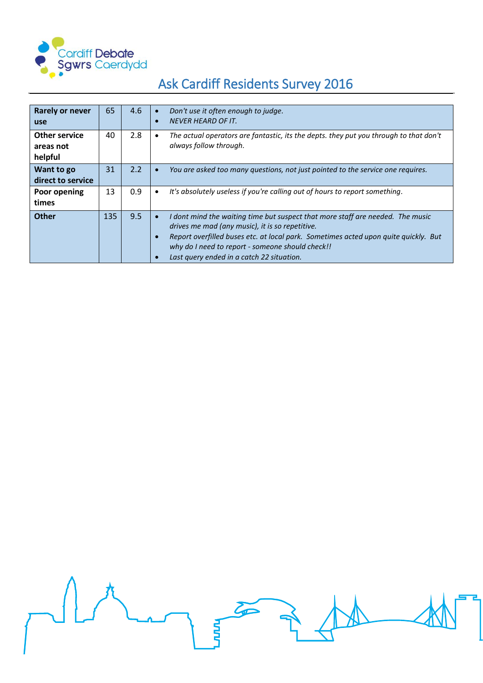

| Rarely or never<br><b>use</b>                | 65  | 4.6 | $\bullet$<br>$\bullet$              | Don't use it often enough to judge.<br><b>NEVER HEARD OF IT.</b>                                                                                                                                                                                                                                                          |
|----------------------------------------------|-----|-----|-------------------------------------|---------------------------------------------------------------------------------------------------------------------------------------------------------------------------------------------------------------------------------------------------------------------------------------------------------------------------|
| <b>Other service</b><br>areas not<br>helpful | 40  | 2.8 | $\bullet$                           | The actual operators are fantastic, its the depts. they put you through to that don't<br>always follow through.                                                                                                                                                                                                           |
| Want to go<br>direct to service              | 31  | 2.2 | $\bullet$                           | You are asked too many questions, not just pointed to the service one requires.                                                                                                                                                                                                                                           |
| Poor opening<br>times                        | 13  | 0.9 | $\bullet$                           | It's absolutely useless if you're calling out of hours to report something.                                                                                                                                                                                                                                               |
| <b>Other</b>                                 | 135 | 9.5 | $\bullet$<br>$\bullet$<br>$\bullet$ | I dont mind the waiting time but suspect that more staff are needed. The music<br>drives me mad (any music), it is so repetitive.<br>Report overfilled buses etc. at local park. Sometimes acted upon quite quickly. But<br>why do I need to report - someone should check!!<br>Last query ended in a catch 22 situation. |

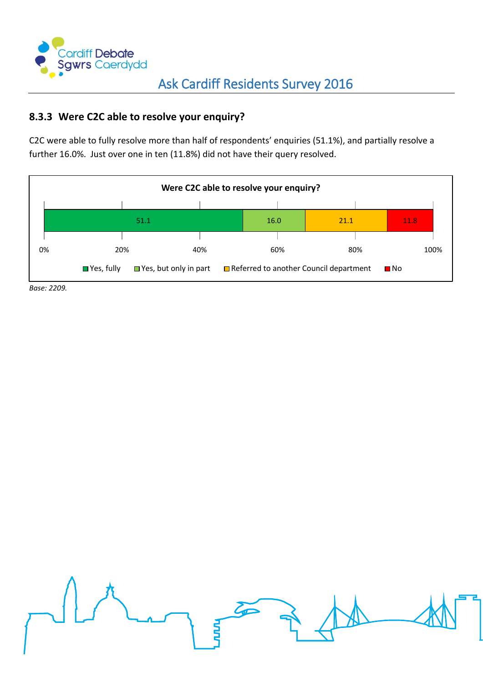

#### <span id="page-21-0"></span>**8.3.3 Were C2C able to resolve your enquiry?**

C2C were able to fully resolve more than half of respondents' enquiries (51.1%), and partially resolve a further 16.0%. Just over one in ten (11.8%) did not have their query resolved.





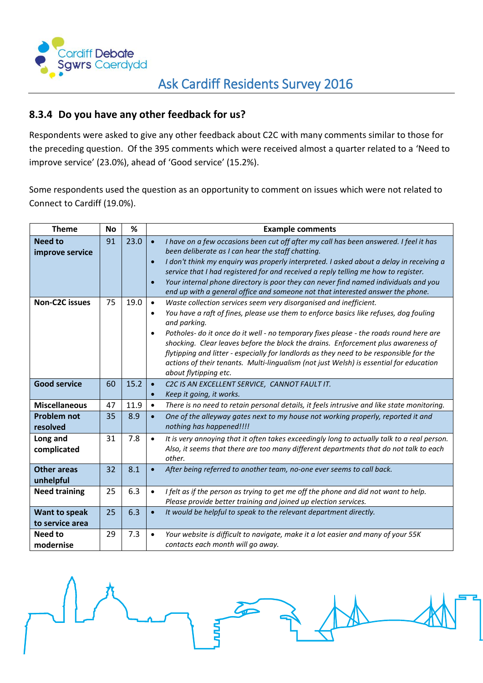

#### <span id="page-22-0"></span>**8.3.4 Do you have any other feedback for us?**

Respondents were asked to give any other feedback about C2C with many comments similar to those for the preceding question. Of the 395 comments which were received almost a quarter related to a 'Need to improve service' (23.0%), ahead of 'Good service' (15.2%).

Some respondents used the question as an opportunity to comment on issues which were not related to Connect to Cardiff (19.0%).

| <b>Theme</b>                      | <b>No</b> | %    |                                     | <b>Example comments</b>                                                                                                                                                                                                                                                                                                                                                                                                                                                                                                                                                 |
|-----------------------------------|-----------|------|-------------------------------------|-------------------------------------------------------------------------------------------------------------------------------------------------------------------------------------------------------------------------------------------------------------------------------------------------------------------------------------------------------------------------------------------------------------------------------------------------------------------------------------------------------------------------------------------------------------------------|
| <b>Need to</b><br>improve service | 91        | 23.0 | $\bullet$<br>$\bullet$<br>$\bullet$ | I have on a few occasions been cut off after my call has been answered. I feel it has<br>been deliberate as I can hear the staff chatting.<br>I don't think my enquiry was properly interpreted. I asked about a delay in receiving a<br>service that I had registered for and received a reply telling me how to register.<br>Your internal phone directory is poor they can never find named individuals and you<br>end up with a general office and someone not that interested answer the phone.                                                                    |
| <b>Non-C2C issues</b>             | 75        | 19.0 | $\bullet$<br>$\bullet$<br>$\bullet$ | Waste collection services seem very disorganised and inefficient.<br>You have a raft of fines, please use them to enforce basics like refuses, dog fouling<br>and parking.<br>Potholes- do it once do it well - no temporary fixes please - the roads round here are<br>shocking. Clear leaves before the block the drains. Enforcement plus awareness of<br>flytipping and litter - especially for landlords as they need to be responsible for the<br>actions of their tenants. Multi-lingualism (not just Welsh) is essential for education<br>about flytipping etc. |
| <b>Good service</b>               | 60        | 15.2 | $\bullet$<br>$\bullet$              | C2C IS AN EXCELLENT SERVICE, CANNOT FAULT IT.<br>Keep it going, it works.                                                                                                                                                                                                                                                                                                                                                                                                                                                                                               |
| <b>Miscellaneous</b>              | 47        | 11.9 | $\bullet$                           | There is no need to retain personal details, it feels intrusive and like state monitoring.                                                                                                                                                                                                                                                                                                                                                                                                                                                                              |
| <b>Problem not</b><br>resolved    | 35        | 8.9  | $\bullet$                           | One of the alleyway gates next to my house not working properly, reported it and<br>nothing has happened!!!!                                                                                                                                                                                                                                                                                                                                                                                                                                                            |
| Long and<br>complicated           | 31        | 7.8  | $\bullet$                           | It is very annoying that it often takes exceedingly long to actually talk to a real person.<br>Also, it seems that there are too many different departments that do not talk to each<br>other.                                                                                                                                                                                                                                                                                                                                                                          |
| <b>Other areas</b><br>unhelpful   | 32        | 8.1  |                                     | After being referred to another team, no-one ever seems to call back.                                                                                                                                                                                                                                                                                                                                                                                                                                                                                                   |
| <b>Need training</b>              | 25        | 6.3  | $\bullet$                           | I felt as if the person as trying to get me off the phone and did not want to help.<br>Please provide better training and joined up election services.                                                                                                                                                                                                                                                                                                                                                                                                                  |
| Want to speak<br>to service area  | 25        | 6.3  | $\bullet$                           | It would be helpful to speak to the relevant department directly.                                                                                                                                                                                                                                                                                                                                                                                                                                                                                                       |
| Need to<br>modernise              | 29        | 7.3  | $\bullet$                           | Your website is difficult to navigate, make it a lot easier and many of your 55K<br>contacts each month will go away.                                                                                                                                                                                                                                                                                                                                                                                                                                                   |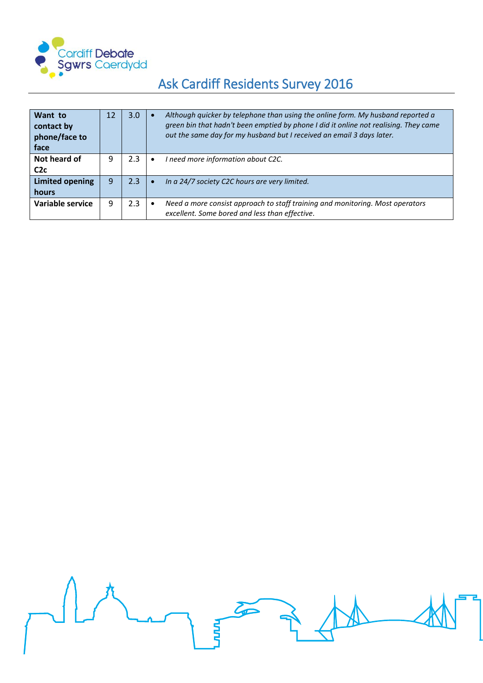

| Want to<br>contact by<br>phone/face to<br>face | 12 | 3.0 <sub>2</sub> |           | Although quicker by telephone than using the online form. My husband reported a<br>green bin that hadn't been emptied by phone I did it online not realising. They came<br>out the same day for my husband but I received an email 3 days later. |
|------------------------------------------------|----|------------------|-----------|--------------------------------------------------------------------------------------------------------------------------------------------------------------------------------------------------------------------------------------------------|
| Not heard of                                   | 9  | 2.3              | $\bullet$ | need more information about C2C.                                                                                                                                                                                                                 |
| C2c                                            |    |                  |           |                                                                                                                                                                                                                                                  |
| <b>Limited opening</b>                         | 9  | 2.3              |           | In a 24/7 society C2C hours are very limited.                                                                                                                                                                                                    |
| hours                                          |    |                  |           |                                                                                                                                                                                                                                                  |
| Variable service                               | 9  | 2.3              |           | Need a more consist approach to staff training and monitoring. Most operators<br>excellent. Some bored and less than effective.                                                                                                                  |

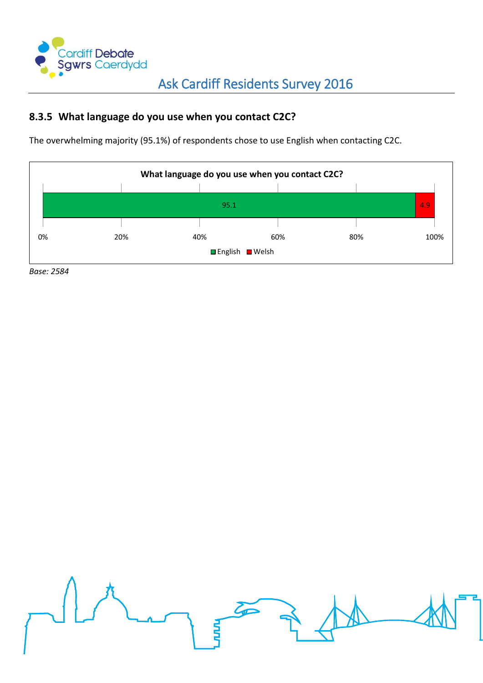

#### <span id="page-24-0"></span>**8.3.5 What language do you use when you contact C2C?**

The overwhelming majority (95.1%) of respondents chose to use English when contacting C2C.



*Base: 2584*

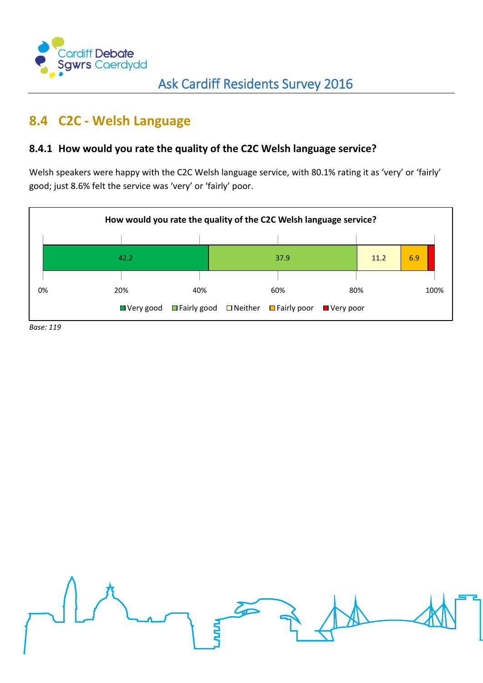

## <span id="page-25-0"></span>**8.4 C2C - Welsh Language**

#### <span id="page-25-1"></span>**8.4.1 How would you rate the quality of the C2C Welsh language service?**

Welsh speakers were happy with the C2C Welsh language service, with 80.1% rating it as 'very' or 'fairly' good; just 8.6% felt the service was 'very' or 'fairly' poor.



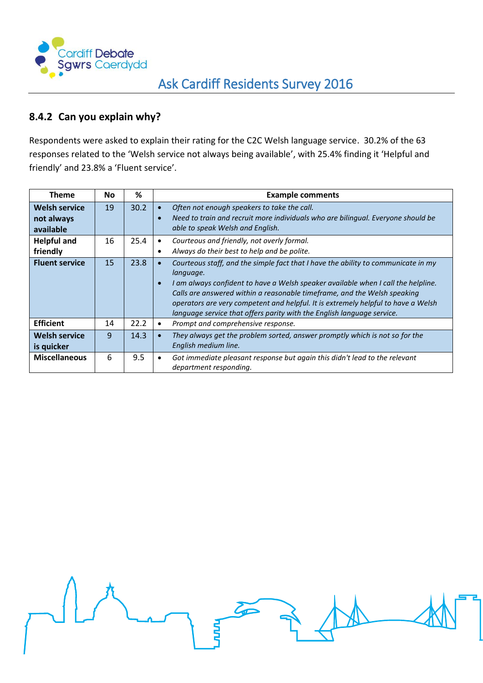

#### <span id="page-26-0"></span>**8.4.2 Can you explain why?**

Respondents were asked to explain their rating for the C2C Welsh language service. 30.2% of the 63 responses related to the 'Welsh service not always being available', with 25.4% finding it 'Helpful and friendly' and 23.8% a 'Fluent service'.

| <b>Theme</b>                                    | No. | %    | <b>Example comments</b>                                                                                                                                                                                                                                                                                                                                                                                                        |
|-------------------------------------------------|-----|------|--------------------------------------------------------------------------------------------------------------------------------------------------------------------------------------------------------------------------------------------------------------------------------------------------------------------------------------------------------------------------------------------------------------------------------|
| <b>Welsh service</b><br>not always<br>available | 19  | 30.2 | Often not enough speakers to take the call.<br>Need to train and recruit more individuals who are bilingual. Everyone should be<br>able to speak Welsh and English.                                                                                                                                                                                                                                                            |
| <b>Helpful and</b><br>friendly                  | 16  | 25.4 | Courteous and friendly, not overly formal.<br>٠<br>Always do their best to help and be polite.<br>$\bullet$                                                                                                                                                                                                                                                                                                                    |
| <b>Fluent service</b>                           | 15  | 23.8 | Courteous staff, and the simple fact that I have the ability to communicate in my<br>language.<br>I am always confident to have a Welsh speaker available when I call the helpline.<br>Calls are answered within a reasonable timeframe, and the Welsh speaking<br>operators are very competent and helpful. It is extremely helpful to have a Welsh<br>language service that offers parity with the English language service. |
| <b>Efficient</b>                                | 14  | 22.2 | Prompt and comprehensive response.                                                                                                                                                                                                                                                                                                                                                                                             |
| <b>Welsh service</b><br>is quicker              | 9   | 14.3 | They always get the problem sorted, answer promptly which is not so for the<br>English medium line.                                                                                                                                                                                                                                                                                                                            |
| <b>Miscellaneous</b>                            | 6   | 9.5  | Got immediate pleasant response but again this didn't lead to the relevant<br>department responding.                                                                                                                                                                                                                                                                                                                           |

Š